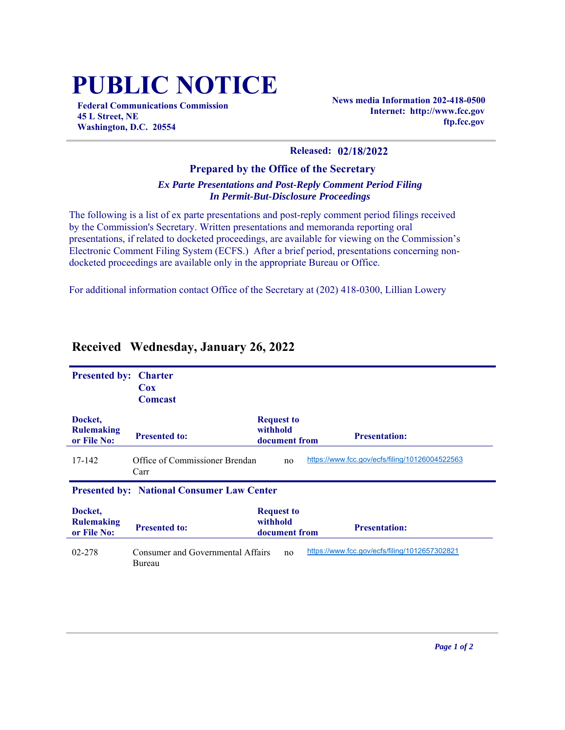## **PUBLIC NOTICE**

**Federal Communications Commission 45 L Street, NE Washington, D.C. 20554**

**News media Information 202-418-0500 Internet: http://www.fcc.gov ftp.fcc.gov**

## **Released: 02/18/2022**

## **Prepared by the Office of the Secretary** *Ex Parte Presentations and Post-Reply Comment Period Filing In Permit-But-Disclosure Proceedings*

The following is a list of ex parte presentations and post-reply comment period filings received by the Commission's Secretary. Written presentations and memoranda reporting oral presentations, if related to docketed proceedings, are available for viewing on the Commission's Electronic Comment Filing System (ECFS.) After a brief period, presentations concerning nondocketed proceedings are available only in the appropriate Bureau or Office.

For additional information contact Office of the Secretary at (202) 418-0300, Lillian Lowery

| <b>Presented by:</b>                        | <b>Charter</b><br><b>Cox</b><br><b>Comcast</b>    |                                                |                                                |
|---------------------------------------------|---------------------------------------------------|------------------------------------------------|------------------------------------------------|
| Docket,<br><b>Rulemaking</b><br>or File No: | <b>Presented to:</b>                              | <b>Request to</b><br>withhold<br>document from | <b>Presentation:</b>                           |
| 17-142                                      | Office of Commissioner Brendan<br>Carr            | no                                             | https://www.fcc.gov/ecfs/filing/10126004522563 |
|                                             | <b>Presented by: National Consumer Law Center</b> |                                                |                                                |
| Docket,<br><b>Rulemaking</b><br>or File No: | <b>Presented to:</b>                              | <b>Request to</b><br>withhold<br>document from | <b>Presentation:</b>                           |
| 02-278                                      | Consumer and Governmental Affairs<br>Bureau       | no                                             | https://www.fcc.gov/ecfs/filing/1012657302821  |

## **Received Wednesday, January 26, 2022**